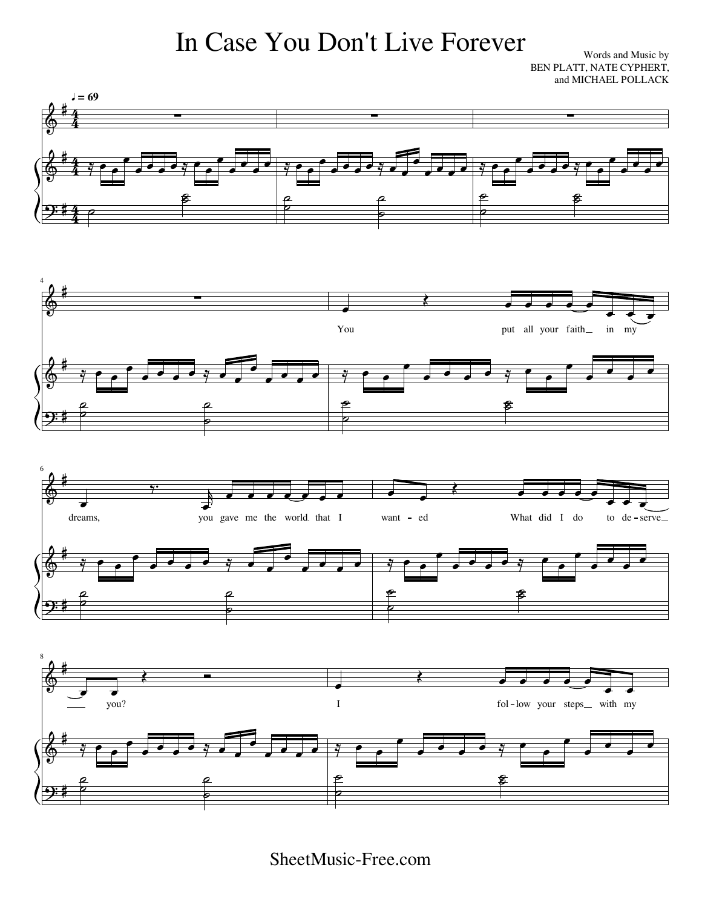## In Case You Don't Live Forever

Words and Music by BEN PLATT, NATE CYPHERT, and MICHAEL POLLACK

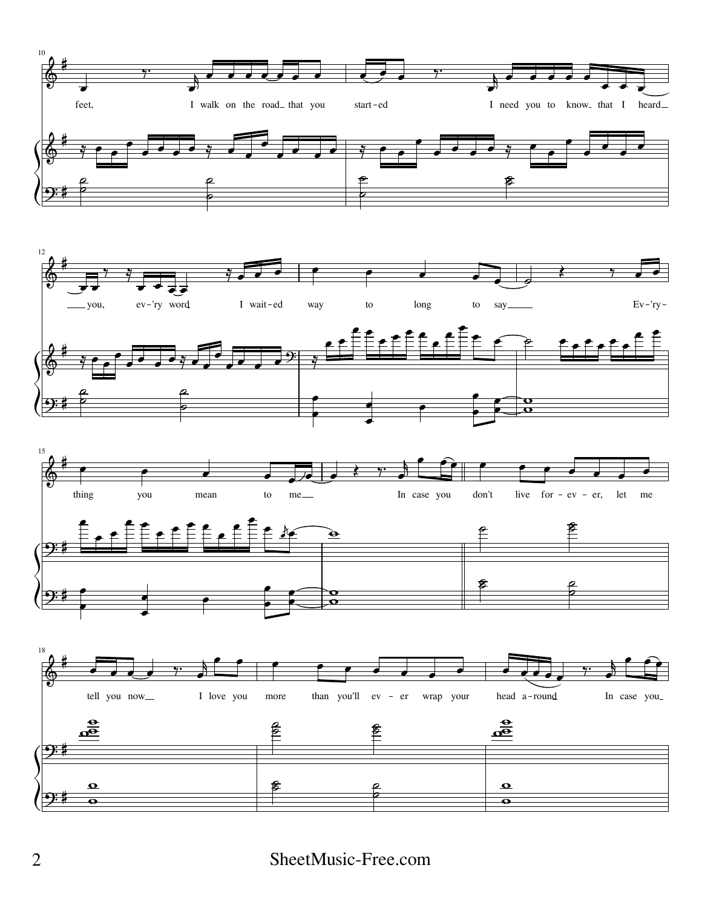





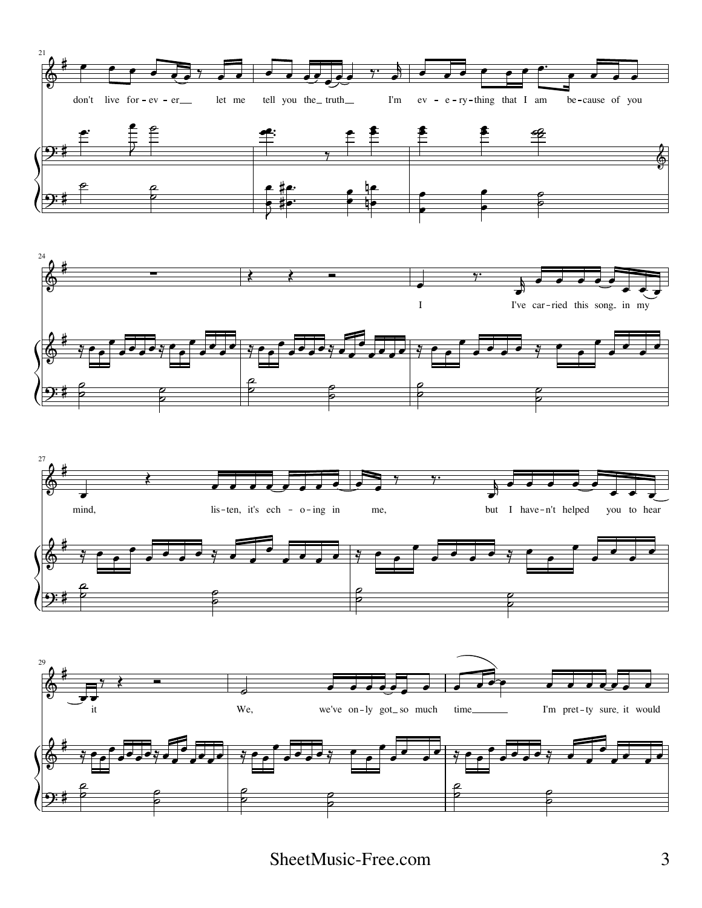





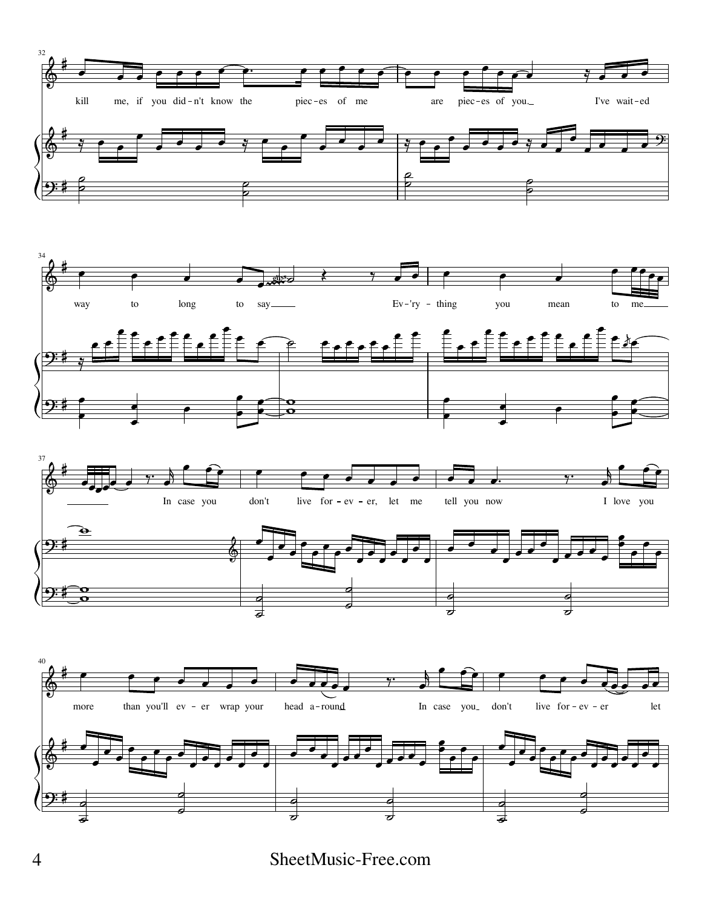





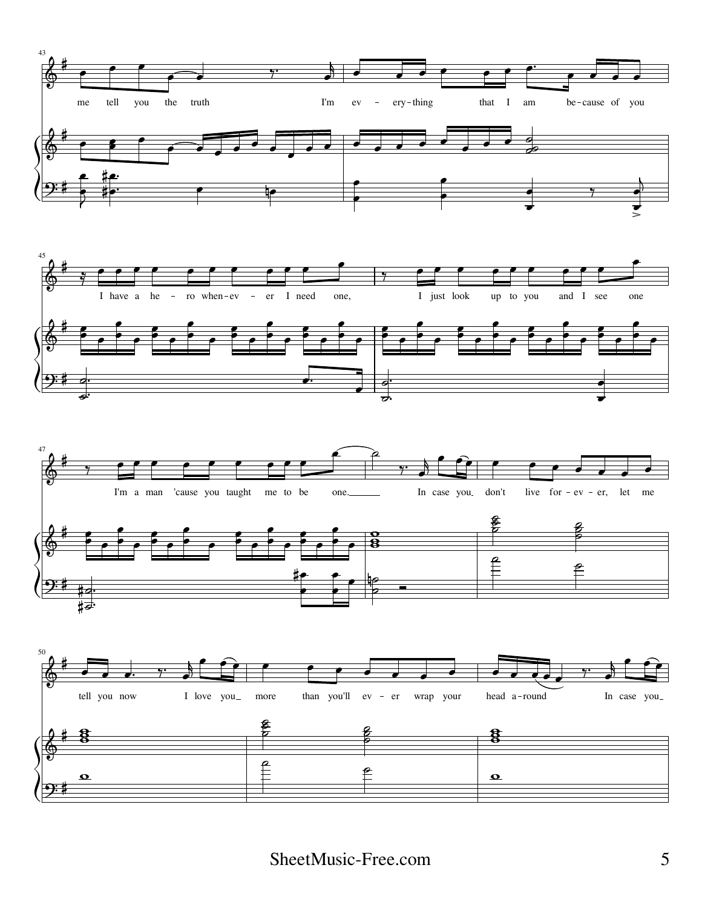





<del>∤ठ</del>∙ —

 $\overline{\cdot}$